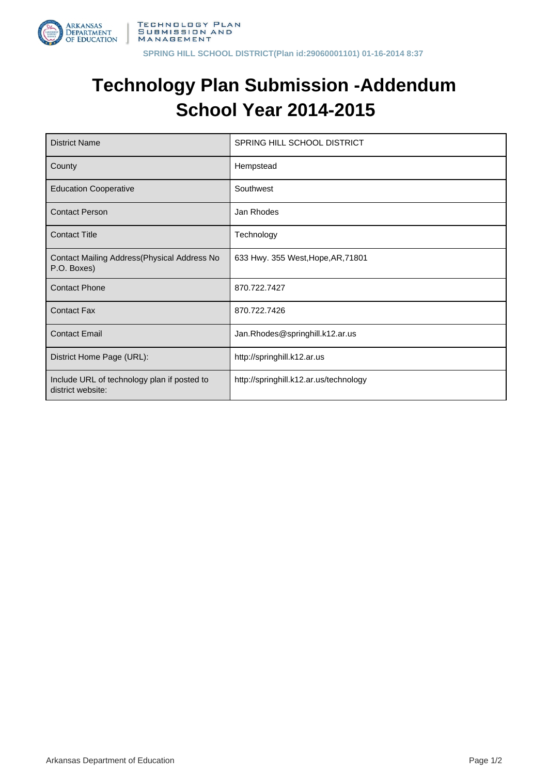

## **Technology Plan Submission -Addendum School Year 2014-2015**

| <b>District Name</b>                                             | SPRING HILL SCHOOL DISTRICT            |  |
|------------------------------------------------------------------|----------------------------------------|--|
| County                                                           | Hempstead                              |  |
| <b>Education Cooperative</b>                                     | Southwest                              |  |
| <b>Contact Person</b>                                            | Jan Rhodes                             |  |
| <b>Contact Title</b>                                             | Technology                             |  |
| Contact Mailing Address(Physical Address No<br>P.O. Boxes)       | 633 Hwy. 355 West, Hope, AR, 71801     |  |
| <b>Contact Phone</b>                                             | 870.722.7427                           |  |
| <b>Contact Fax</b>                                               | 870.722.7426                           |  |
| <b>Contact Email</b>                                             | Jan.Rhodes@springhill.k12.ar.us        |  |
| District Home Page (URL):                                        | http://springhill.k12.ar.us            |  |
| Include URL of technology plan if posted to<br>district website: | http://springhill.k12.ar.us/technology |  |